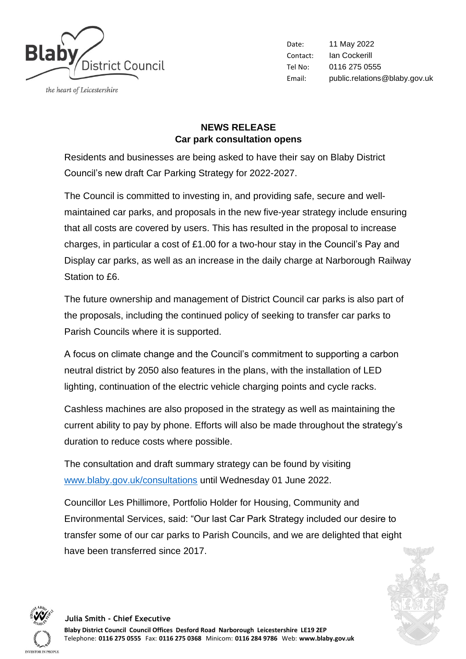

the heart of Leicestershire

Date: 11 May 2022 Contact: Ian Cockerill Tel No: 0116 275 0555 Email: public.relations@blaby.gov.uk

## **NEWS RELEASE Car park consultation opens**

Residents and businesses are being asked to have their say on Blaby District Council's new draft Car Parking Strategy for 2022-2027.

The Council is committed to investing in, and providing safe, secure and wellmaintained car parks, and proposals in the new five-year strategy include ensuring that all costs are covered by users. This has resulted in the proposal to increase charges, in particular a cost of £1.00 for a two-hour stay in the Council's Pay and Display car parks, as well as an increase in the daily charge at Narborough Railway Station to £6.

The future ownership and management of District Council car parks is also part of the proposals, including the continued policy of seeking to transfer car parks to Parish Councils where it is supported.

A focus on climate change and the Council's commitment to supporting a carbon neutral district by 2050 also features in the plans, with the installation of LED lighting, continuation of the electric vehicle charging points and cycle racks.

Cashless machines are also proposed in the strategy as well as maintaining the current ability to pay by phone. Efforts will also be made throughout the strategy's duration to reduce costs where possible.

The consultation and draft summary strategy can be found by visiting [www.blaby.gov.uk/consultations](http://www.blaby.gov.uk/consultations) until Wednesday 01 June 2022.

Councillor Les Phillimore, Portfolio Holder for Housing, Community and Environmental Services, said: "Our last Car Park Strategy included our desire to transfer some of our car parks to Parish Councils, and we are delighted that eight have been transferred since 2017.